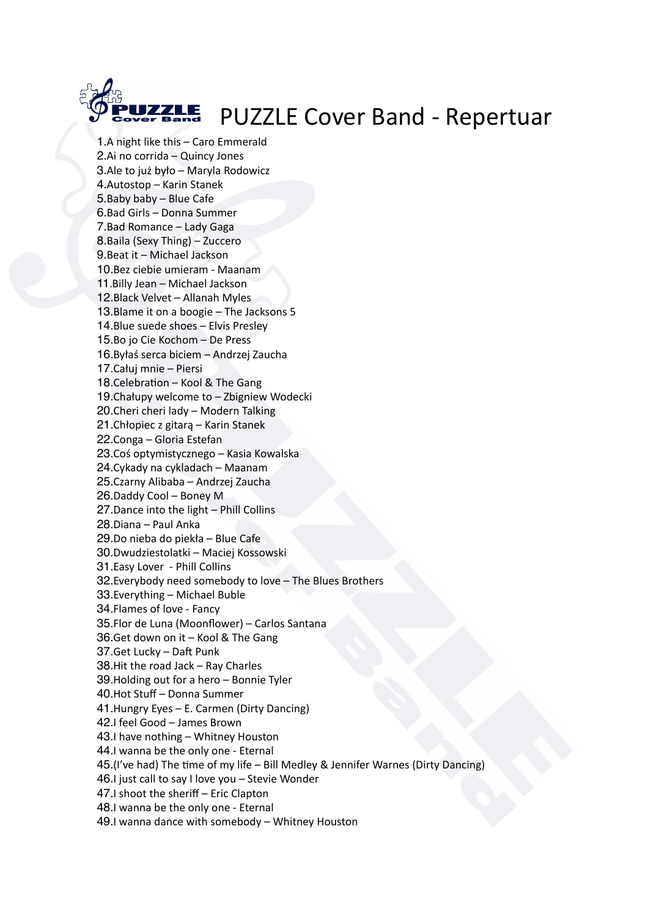

1.A night like this – Caro Emmerald 2.Ai no corrida – Quincy Jones 3.Ale to już było – Maryla Rodowicz 4.Autostop – Karin Stanek 5.Baby baby – Blue Cafe 6.Bad Girls – Donna Summer 7.Bad Romance – Lady Gaga 8.Baila (Sexy Thing) – Zuccero 9.Beat it – Michael Jackson 10.Bez ciebie umieram - Maanam 11.Billy Jean – Michael Jackson 12.Black Velvet – Allanah Myles 13.Blame it on a boogie – The Jacksons 5 14.Blue suede shoes – Elvis Presley 15.Bo jo Cie Kochom – De Press 16.Byłaś serca biciem – Andrzej Zaucha 17.Całuj mnie – Piersi 18.Celebration – Kool & The Gang 19.Chałupy welcome to – Zbigniew Wodecki 20.Cheri cheri lady – Modern Talking 21.Chłopiec z gitarą – Karin Stanek 22.Conga – Gloria Estefan 23.Coś optymistycznego – Kasia Kowalska 24.Cykady na cykladach – Maanam 25.Czarny Alibaba – Andrzej Zaucha 26.Daddy Cool – Boney M 27.Dance into the light – Phill Collins 28.Diana – Paul Anka 29.Do nieba do piekła – Blue Cafe 30.Dwudziestolatki – Maciej Kossowski 31.Easy Lover - Phill Collins 32.Everybody need somebody to love – The Blues Brothers 33.Everything – Michael Buble 34.Flames of love - Fancy 35.Flor de Luna (Moonflower) – Carlos Santana 36.Get down on it – Kool & The Gang 37.Get Lucky - Daft Punk 38.Hit the road Jack – Ray Charles 39.Holding out for a hero – Bonnie Tyler 40.Hot Stuff – Donna Summer 41.Hungry Eyes – E. Carmen (Dirty Dancing) 42.I feel Good – James Brown 43.I have nothing – Whitney Houston 44.I wanna be the only one - Eternal 45.(I've had) The time of my life – Bill Medley & Jennifer Warnes (Dirty Dancing) 46.I just call to say I love you – Stevie Wonder 47.I shoot the sheriff – Eric Clapton 48.I wanna be the only one - Eternal 49.I wanna dance with somebody – Whitney Houston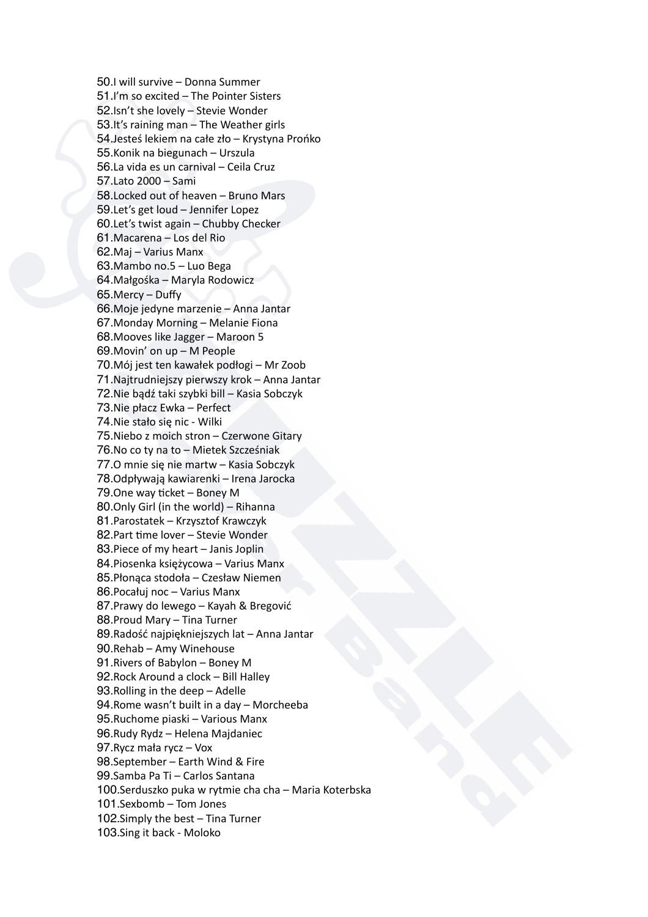50.I will survive – Donna Summer 51.I'm so excited – The Pointer Sisters 52.Isn't she lovely – Stevie Wonder 53.It's raining man – The Weather girls 54.Jesteś lekiem na całe zło – Krystyna Prońko 55.Konik na biegunach – Urszula 56.La vida es un carnival – Ceila Cruz 57.Lato 2000 – Sami 58.Locked out of heaven – Bruno Mars 59.Let's get loud – Jennifer Lopez 60.Let's twist again – Chubby Checker 61.Macarena – Los del Rio 62.Maj – Varius Manx 63.Mambo no.5 – Luo Bega 64.Małgośka – Maryla Rodowicz 65.Mercy – Duffy 66.Moje jedyne marzenie – Anna Jantar 67.Monday Morning – Melanie Fiona 68.Mooves like Jagger – Maroon 5 69.Movin' on up – M People 70.Mój jest ten kawałek podłogi – Mr Zoob 71.Najtrudniejszy pierwszy krok – Anna Jantar 72.Nie bądź taki szybki bill – Kasia Sobczyk 73.Nie płacz Ewka – Perfect 74.Nie stało się nic - Wilki 75.Niebo z moich stron – Czerwone Gitary 76.No co ty na to – Mietek Szcześniak 77.O mnie się nie martw – Kasia Sobczyk 78.Odpływają kawiarenki – Irena Jarocka  $79.$ One way ticket – Boney M 80.Only Girl (in the world) – Rihanna 81.Parostatek – Krzysztof Krawczyk 82. Part time lover - Stevie Wonder 83.Piece of my heart – Janis Joplin 84.Piosenka księżycowa – Varius Manx 85.Płonąca stodoła – Czesław Niemen 86.Pocałuj noc – Varius Manx 87.Prawy do lewego – Kayah & Bregović 88.Proud Mary – Tina Turner 89.Radość najpiękniejszych lat – Anna Jantar 90.Rehab – Amy Winehouse 91.Rivers of Babylon – Boney M 92.Rock Around a clock – Bill Halley 93.Rolling in the deep – Adelle 94.Rome wasn't built in a day – Morcheeba 95.Ruchome piaski – Various Manx 96.Rudy Rydz – Helena Majdaniec 97.Rycz mała rycz – Vox 98.September – Earth Wind & Fire 99.Samba Pa Ti – Carlos Santana 100.Serduszko puka w rytmie cha cha – Maria Koterbska 101.Sexbomb – Tom Jones 102.Simply the best – Tina Turner 103.Sing it back - Moloko